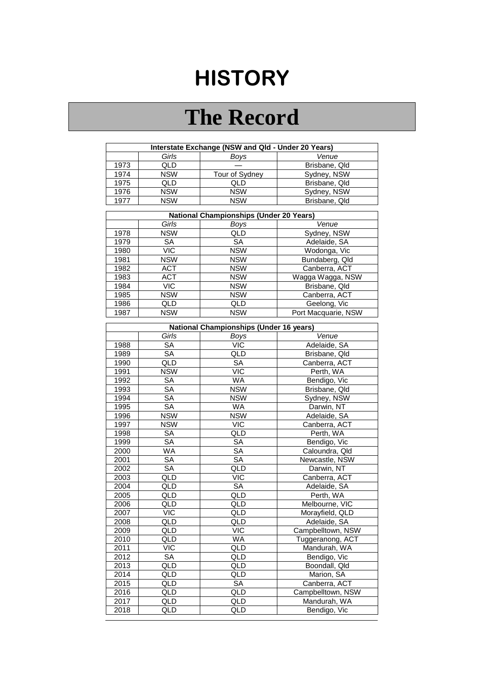## **HISTORY**

## **The Record**

| Interstate Exchange (NSW and Qld - Under 20 Years) |                        |                                                |                     |  |  |  |  |
|----------------------------------------------------|------------------------|------------------------------------------------|---------------------|--|--|--|--|
|                                                    | Girls                  | <b>Boys</b>                                    | Venue               |  |  |  |  |
| 1973                                               | QLD                    |                                                | Brisbane, Qld       |  |  |  |  |
| 1974                                               | <b>NSW</b>             | Tour of Sydney                                 | Sydney, NSW         |  |  |  |  |
| 1975                                               | QLD                    | QLD                                            | Brisbane, Qld       |  |  |  |  |
| 1976                                               | <b>NSW</b>             | <b>NSW</b>                                     | Sydney, NSW         |  |  |  |  |
| 1977                                               | <b>NSW</b>             | <b>NSW</b>                                     | Brisbane, Qld       |  |  |  |  |
|                                                    |                        |                                                |                     |  |  |  |  |
|                                                    |                        | <b>National Championships (Under 20 Years)</b> |                     |  |  |  |  |
|                                                    | Girls                  | <b>Boys</b>                                    | Venue               |  |  |  |  |
| 1978                                               | <b>NSW</b>             | QLD                                            | Sydney, NSW         |  |  |  |  |
| 1979                                               | SA                     | SA                                             | Adelaide, SA        |  |  |  |  |
| 1980                                               | <b>VIC</b>             | <b>NSW</b>                                     | Wodonga, Vic        |  |  |  |  |
| 1981                                               | <b>NSW</b>             | <b>NSW</b>                                     | Bundaberg, Qld      |  |  |  |  |
| 1982                                               | <b>ACT</b>             | <b>NSW</b>                                     | Canberra, ACT       |  |  |  |  |
| 1983                                               | <b>ACT</b>             | <b>NSW</b>                                     | Wagga Wagga, NSW    |  |  |  |  |
| 1984                                               | <b>VIC</b>             | <b>NSW</b>                                     | Brisbane, Qld       |  |  |  |  |
| 1985                                               | <b>NSW</b>             | <b>NSW</b>                                     | Canberra, ACT       |  |  |  |  |
| 1986                                               | QLD                    | QLD                                            | Geelong, Vic        |  |  |  |  |
| 1987                                               | <b>NSW</b>             | <b>NSW</b>                                     | Port Macquarie, NSW |  |  |  |  |
|                                                    |                        |                                                |                     |  |  |  |  |
|                                                    |                        | <b>National Championships (Under 16 years)</b> |                     |  |  |  |  |
|                                                    | Girls                  | Boys                                           | Venue               |  |  |  |  |
| 1988                                               | <b>SA</b>              | $\overline{VC}$                                | Adelaide, SA        |  |  |  |  |
| 1989                                               | SA                     | QLD                                            | Brisbane, Qld       |  |  |  |  |
| 1990                                               | QLD                    | SA                                             | Canberra, ACT       |  |  |  |  |
| 1991                                               | <b>NSW</b>             | $\overline{\text{VIC}}$                        | Perth, WA           |  |  |  |  |
| 1992                                               | SA                     | <b>WA</b>                                      | Bendigo, Vic        |  |  |  |  |
| 1993                                               | $\overline{\text{SA}}$ | <b>NSW</b>                                     | Brisbane, Qld       |  |  |  |  |
| 1994                                               | <b>SA</b>              | <b>NSW</b>                                     | Sydney, NSW         |  |  |  |  |
| 1995                                               | <b>SA</b>              | WA                                             | Darwin, NT          |  |  |  |  |
| 1996                                               | <b>NSW</b>             | <b>NSW</b>                                     | Adelaide, SA        |  |  |  |  |
| 1997                                               | <b>NSW</b>             | $\overline{\text{VIC}}$                        | Canberra, ACT       |  |  |  |  |
| 1998                                               | <b>SA</b>              | QLD                                            | Perth, WA           |  |  |  |  |
| 1999                                               | SA                     | SA                                             | Bendigo, Vic        |  |  |  |  |
| 2000                                               | <b>WA</b>              | <b>SA</b>                                      | Caloundra, Qld      |  |  |  |  |
| 2001                                               | $\overline{\text{SA}}$ | <b>SA</b>                                      | Newcastle, NSW      |  |  |  |  |
| 2002                                               | $\overline{\text{SA}}$ | $\overline{QLD}$                               | Darwin, NT          |  |  |  |  |
| 2003                                               | QLD                    | $\overline{\text{VIC}}$                        | Canberra, ACT       |  |  |  |  |
| 2004                                               | QLD                    | SA                                             | Adelaide, SA        |  |  |  |  |
| 2005                                               | QLD                    | QLD                                            | Perth, WA           |  |  |  |  |
| 2006                                               | QLD                    | QLD                                            | Melbourne, VIC      |  |  |  |  |
| 2007                                               | <b>VIC</b>             | QLD                                            | Morayfield, QLD     |  |  |  |  |
| 2008                                               | QLD                    | QLD                                            | Adelaide, SA        |  |  |  |  |
| 2009                                               | QLD                    | $\overline{\text{VIC}}$                        | Campbelltown, NSW   |  |  |  |  |
| 2010                                               | QLD                    | WA                                             | Tuggeranong, ACT    |  |  |  |  |
| 2011                                               | <b>VIC</b>             | QLD                                            | Mandurah, WA        |  |  |  |  |
| 2012                                               | SA                     | QLD                                            | Bendigo, Vic        |  |  |  |  |
| 2013                                               | QLD                    | QLD                                            | Boondall, Qld       |  |  |  |  |
| 2014                                               | QLD                    | QLD                                            | Marion, SA          |  |  |  |  |
| 2015                                               | QLD                    | SA                                             | Canberra, ACT       |  |  |  |  |
| 2016                                               | QLD                    | QLD                                            | Campbelltown, NSW   |  |  |  |  |
| 2017                                               | QLD                    | QLD                                            | Mandurah, WA        |  |  |  |  |
| 2018                                               | QLD                    | QLD                                            | Bendigo, Vic        |  |  |  |  |